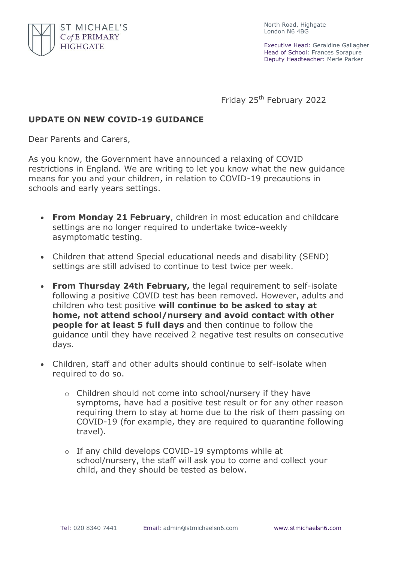

North Road, Highgate London N6 4BG

Executive Head: Geraldine Gallagher Head of School: Frances Sorapure Deputy Headteacher: Merle Parker

Friday 25<sup>th</sup> February 2022

## **UPDATE ON NEW COVID-19 GUIDANCE**

Dear Parents and Carers,

As you know, the Government have announced a relaxing of COVID restrictions in England. We are writing to let you know what the new guidance means for you and your children, in relation to COVID-19 precautions in schools and early years settings.

- **From Monday 21 February**, children in most education and childcare settings are no longer required to undertake twice-weekly asymptomatic testing.
- Children that attend Special educational needs and disability (SEND) settings are still advised to continue to test twice per week.
- **From Thursday 24th February,** the legal requirement to self-isolate following a positive COVID test has been removed. However, adults and children who test positive **will continue to be asked to stay at home, not attend school/nursery and avoid contact with other people for at least 5 full days** and then continue to follow the guidance until they have received 2 negative test results on consecutive days.
- Children, staff and other adults should continue to self-isolate when required to do so.
	- o Children should not come into school/nursery if they have symptoms, have had a positive test result or for any other reason requiring them to stay at home due to the risk of them passing on COVID-19 (for example, they are required to quarantine following travel).
	- o If any child develops COVID-19 symptoms while at school/nursery, the staff will ask you to come and collect your child, and they should be tested as below.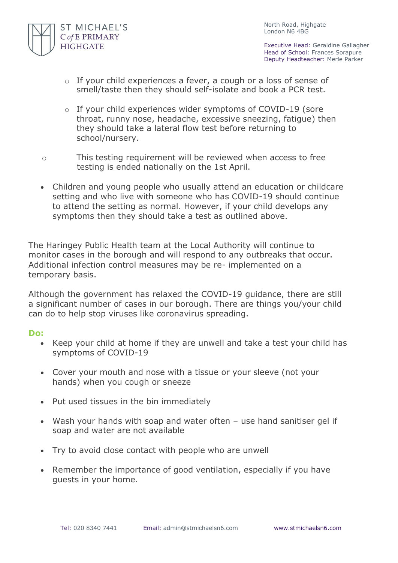

North Road, Highgate London N6 4BG

Executive Head: Geraldine Gallagher Head of School: Frances Sorapure Deputy Headteacher: Merle Parker

- o If your child experiences a fever, a cough or a loss of sense of smell/taste then they should self-isolate and book a PCR test.
- o If your child experiences wider symptoms of COVID-19 (sore throat, runny nose, headache, excessive sneezing, fatigue) then they should take a lateral flow test before returning to school/nursery.
- o This testing requirement will be reviewed when access to free testing is ended nationally on the 1st April.
- Children and young people who usually attend an education or childcare setting and who live with someone who has COVID-19 should continue to attend the setting as normal. However, if your child develops any symptoms then they should take a test as outlined above.

The Haringey Public Health team at the Local Authority will continue to monitor cases in the borough and will respond to any outbreaks that occur. Additional infection control measures may be re- implemented on a temporary basis.

Although the government has relaxed the COVID-19 guidance, there are still a significant number of cases in our borough. There are things you/your child can do to help stop viruses like coronavirus spreading.

## **Do:**

- Keep your child at home if they are unwell and take a test your child has symptoms of COVID-19
- Cover your mouth and nose with a tissue or your sleeve (not your hands) when you cough or sneeze
- Put used tissues in the bin immediately
- Wash your hands with soap and water often use hand sanitiser gel if soap and water are not available
- Try to avoid close contact with people who are unwell
- Remember the importance of good ventilation, especially if you have guests in your home.